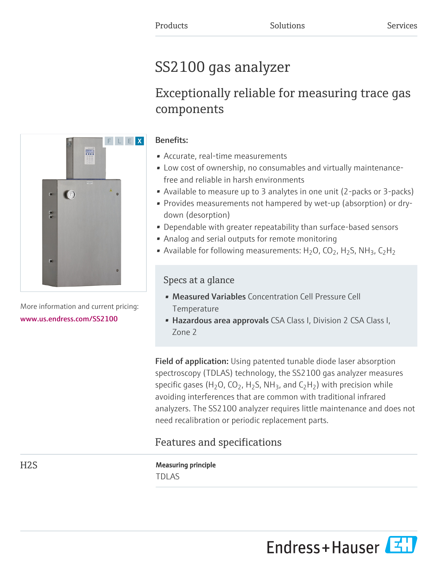# SS2100 gas analyzer

# Exceptionally reliable for measuring trace gas components



More information and current pricing: [www.us.endress.com/SS2100](https://www.us.endress.com/SS2100)

### Benefits:

- Accurate, real-time measurements
- Low cost of ownership, no consumables and virtually maintenancefree and reliable in harsh environments
- Available to measure up to 3 analytes in one unit (2-packs or 3-packs)
- Provides measurements not hampered by wet-up (absorption) or drydown (desorption)
- Dependable with greater repeatability than surface-based sensors
- Analog and serial outputs for remote monitoring
- Available for following measurements:  $H_2O$ ,  $CO_2$ ,  $H_2S$ , NH<sub>3</sub>,  $C_2H_2$

### Specs at a glance

- Measured Variables Concentration Cell Pressure Cell **Temperature**
- Hazardous area approvals CSA Class I, Division 2 CSA Class I, Zone 2

Field of application: Using patented tunable diode laser absorption spectroscopy (TDLAS) technology, the SS2100 gas analyzer measures specific gases (H<sub>2</sub>O, CO<sub>2</sub>, H<sub>2</sub>S, NH<sub>3</sub>, and C<sub>2</sub>H<sub>2</sub>) with precision while avoiding interferences that are common with traditional infrared analyzers. The SS2100 analyzer requires little maintenance and does not need recalibration or periodic replacement parts.

## Features and specifications

H2S Measuring principle TDLAS

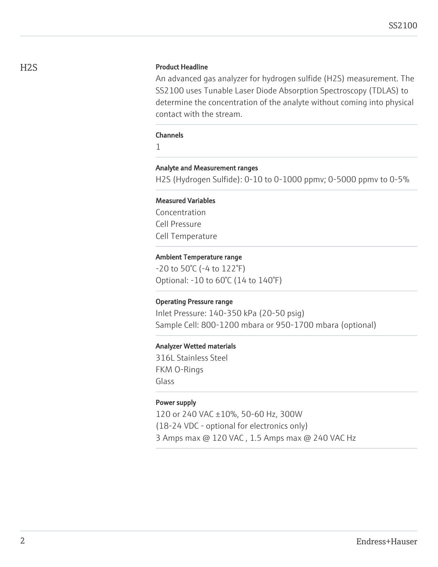### H2S Product Headline

An advanced gas analyzer for hydrogen sulfide (H2S) measurement. The SS2100 uses Tunable Laser Diode Absorption Spectroscopy (TDLAS) to determine the concentration of the analyte without coming into physical contact with the stream.

### Channels

1

#### Analyte and Measurement ranges

H2S (Hydrogen Sulfide): 0-10 to 0-1000 ppmv; 0-5000 ppmv to 0-5%

### Measured Variables

Concentration Cell Pressure Cell Temperature

#### Ambient Temperature range

-20 to 50°C (-4 to 122°F) Optional: -10 to 60°C (14 to 140°F)

#### Operating Pressure range

Inlet Pressure: 140-350 kPa (20-50 psig) Sample Cell: 800-1200 mbara or 950-1700 mbara (optional)

#### Analyzer Wetted materials

316L Stainless Steel FKM O-Rings Glass

#### Power supply

120 or 240 VAC ±10%, 50-60 Hz, 300W (18-24 VDC - optional for electronics only) 3 Amps max @ 120 VAC , 1.5 Amps max @ 240 VAC Hz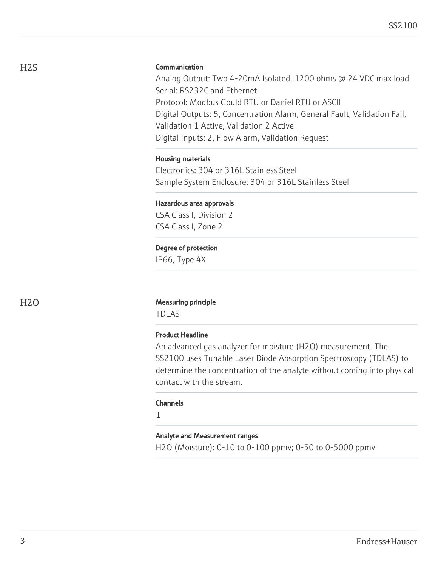### **Communication**

Analog Output: Two 4-20mA Isolated, 1200 ohms @ 24 VDC max load Serial: RS232C and Ethernet Protocol: Modbus Gould RTU or Daniel RTU or ASCII Digital Outputs: 5, Concentration Alarm, General Fault, Validation Fail, Validation 1 Active, Validation 2 Active Digital Inputs: 2, Flow Alarm, Validation Request

#### Housing materials

Electronics: 304 or 316L Stainless Steel Sample System Enclosure: 304 or 316L Stainless Steel

# Hazardous area approvals

CSA Class I, Division 2 CSA Class I, Zone 2

### Degree of protection

IP66, Type 4X

#### H<sub>2</sub>O Measuring principle

TDLAS

### Product Headline

An advanced gas analyzer for moisture (H2O) measurement. The SS2100 uses Tunable Laser Diode Absorption Spectroscopy (TDLAS) to determine the concentration of the analyte without coming into physical contact with the stream.

#### **Channels**

1

### Analyte and Measurement ranges

H2O (Moisture): 0-10 to 0-100 ppmv; 0-50 to 0-5000 ppmv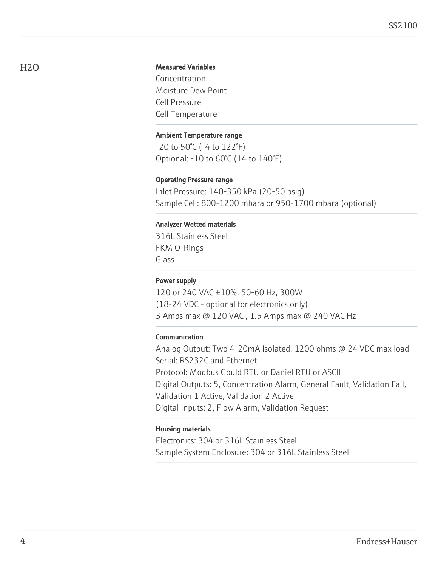### Measured Variables

Concentration Moisture Dew Point Cell Pressure Cell Temperature

#### Ambient Temperature range

-20 to 50°C (-4 to 122°F) Optional: -10 to 60°C (14 to 140°F)

#### Operating Pressure range

Inlet Pressure: 140-350 kPa (20-50 psig) Sample Cell: 800-1200 mbara or 950-1700 mbara (optional)

#### Analyzer Wetted materials

316L Stainless Steel FKM O-Rings Glass

### Power supply

120 or 240 VAC ±10%, 50-60 Hz, 300W (18-24 VDC - optional for electronics only) 3 Amps max @ 120 VAC , 1.5 Amps max @ 240 VAC Hz

### Communication

Analog Output: Two 4-20mA Isolated, 1200 ohms @ 24 VDC max load Serial: RS232C and Ethernet Protocol: Modbus Gould RTU or Daniel RTU or ASCII Digital Outputs: 5, Concentration Alarm, General Fault, Validation Fail, Validation 1 Active, Validation 2 Active Digital Inputs: 2, Flow Alarm, Validation Request

#### Housing materials

Electronics: 304 or 316L Stainless Steel Sample System Enclosure: 304 or 316L Stainless Steel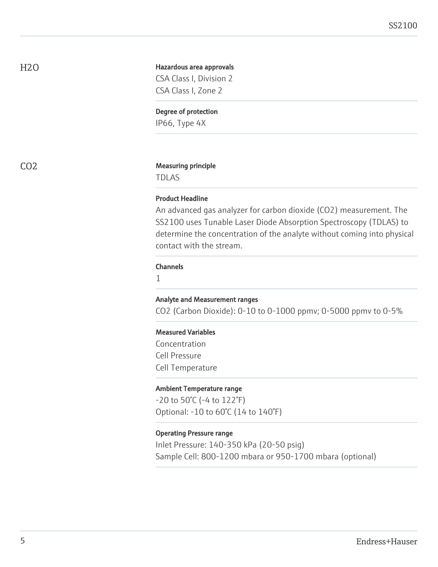H2O

#### Hazardous area approvals

CSA Class I, Division 2 CSA Class I, Zone 2

#### Degree of protection

IP66, Type 4X

#### CO2 Measuring principle

TDLAS

#### Product Headline

An advanced gas analyzer for carbon dioxide (CO2) measurement. The SS2100 uses Tunable Laser Diode Absorption Spectroscopy (TDLAS) to determine the concentration of the analyte without coming into physical contact with the stream.

#### Channels

1

#### Analyte and Measurement ranges

CO2 (Carbon Dioxide): 0-10 to 0-1000 ppmv; 0-5000 ppmv to 0-5%

### Measured Variables

Concentration Cell Pressure Cell Temperature

#### Ambient Temperature range

-20 to 50°C (-4 to 122°F) Optional: -10 to 60°C (14 to 140°F)

### Operating Pressure range

Inlet Pressure: 140-350 kPa (20-50 psig) Sample Cell: 800-1200 mbara or 950-1700 mbara (optional)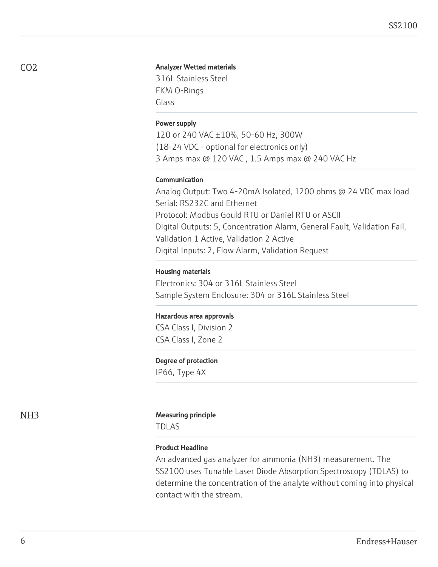#### Analyzer Wetted materials

316L Stainless Steel FKM O-Rings Glass

#### Power supply

120 or 240 VAC ±10%, 50-60 Hz, 300W (18-24 VDC - optional for electronics only) 3 Amps max @ 120 VAC , 1.5 Amps max @ 240 VAC Hz

#### Communication

Analog Output: Two 4-20mA Isolated, 1200 ohms @ 24 VDC max load Serial: RS232C and Ethernet Protocol: Modbus Gould RTU or Daniel RTU or ASCII Digital Outputs: 5, Concentration Alarm, General Fault, Validation Fail, Validation 1 Active, Validation 2 Active Digital Inputs: 2, Flow Alarm, Validation Request

#### Housing materials

Electronics: 304 or 316L Stainless Steel Sample System Enclosure: 304 or 316L Stainless Steel

#### Hazardous area approvals

CSA Class I, Division 2 CSA Class I, Zone 2

#### Degree of protection

IP66, Type 4X

#### NH3 Measuring principle

TDLAS

#### Product Headline

An advanced gas analyzer for ammonia (NH3) measurement. The SS2100 uses Tunable Laser Diode Absorption Spectroscopy (TDLAS) to determine the concentration of the analyte without coming into physical contact with the stream.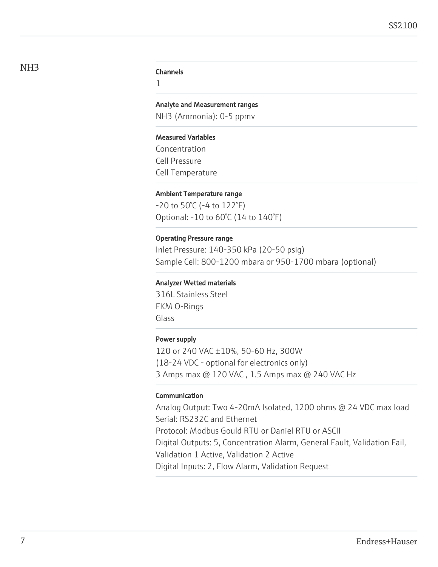#### Channels

1

#### Analyte and Measurement ranges

NH3 (Ammonia): 0-5 ppmv

#### Measured Variables

Concentration Cell Pressure Cell Temperature

#### Ambient Temperature range

-20 to 50°C (-4 to 122°F) Optional: -10 to 60°C (14 to 140°F)

#### Operating Pressure range

Inlet Pressure: 140-350 kPa (20-50 psig) Sample Cell: 800-1200 mbara or 950-1700 mbara (optional)

#### Analyzer Wetted materials

316L Stainless Steel FKM O-Rings Glass

#### Power supply

120 or 240 VAC ±10%, 50-60 Hz, 300W (18-24 VDC - optional for electronics only) 3 Amps max @ 120 VAC , 1.5 Amps max @ 240 VAC Hz

#### Communication

Analog Output: Two 4-20mA Isolated, 1200 ohms @ 24 VDC max load Serial: RS232C and Ethernet Protocol: Modbus Gould RTU or Daniel RTU or ASCII Digital Outputs: 5, Concentration Alarm, General Fault, Validation Fail, Validation 1 Active, Validation 2 Active Digital Inputs: 2, Flow Alarm, Validation Request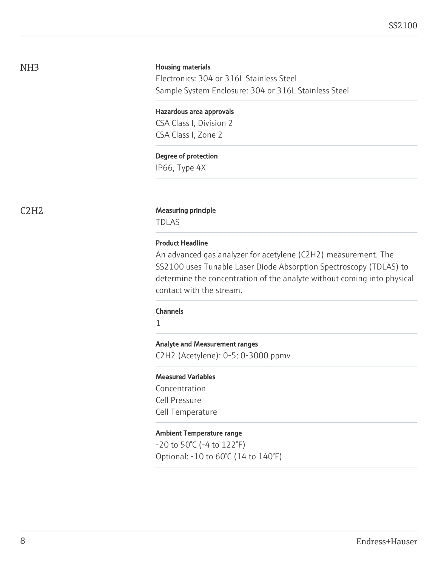### NH3

#### Housing materials

Electronics: 304 or 316L Stainless Steel Sample System Enclosure: 304 or 316L Stainless Steel

### Hazardous area approvals

CSA Class I, Division 2 CSA Class I, Zone 2

#### Degree of protection

IP66, Type 4X

#### C2H2 Measuring principle

TDLAS

#### Product Headline

An advanced gas analyzer for acetylene (C2H2) measurement. The SS2100 uses Tunable Laser Diode Absorption Spectroscopy (TDLAS) to determine the concentration of the analyte without coming into physical contact with the stream.

#### Channels

1

#### Analyte and Measurement ranges

C2H2 (Acetylene): 0-5; 0-3000 ppmv

#### Measured Variables

Concentration Cell Pressure Cell Temperature

### Ambient Temperature range

-20 to 50°C (-4 to 122°F) Optional: -10 to 60°C (14 to 140°F)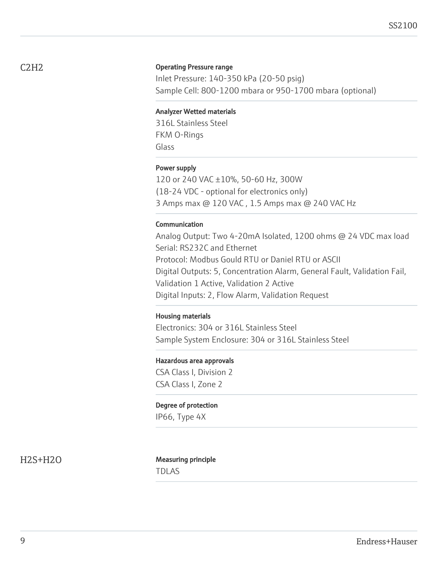### Operating Pressure range

Inlet Pressure: 140-350 kPa (20-50 psig) Sample Cell: 800-1200 mbara or 950-1700 mbara (optional)

#### Analyzer Wetted materials

316L Stainless Steel FKM O-Rings Glass

#### Power supply

120 or 240 VAC ±10%, 50-60 Hz, 300W (18-24 VDC - optional for electronics only) 3 Amps max @ 120 VAC , 1.5 Amps max @ 240 VAC Hz

#### Communication

Analog Output: Two 4-20mA Isolated, 1200 ohms @ 24 VDC max load Serial: RS232C and Ethernet Protocol: Modbus Gould RTU or Daniel RTU or ASCII Digital Outputs: 5, Concentration Alarm, General Fault, Validation Fail, Validation 1 Active, Validation 2 Active Digital Inputs: 2, Flow Alarm, Validation Request

#### Housing materials

Electronics: 304 or 316L Stainless Steel Sample System Enclosure: 304 or 316L Stainless Steel

#### Hazardous area approvals

CSA Class I, Division 2 CSA Class I, Zone 2

#### Degree of protection

IP66, Type 4X

H2S+H2O Measuring principle TDLAS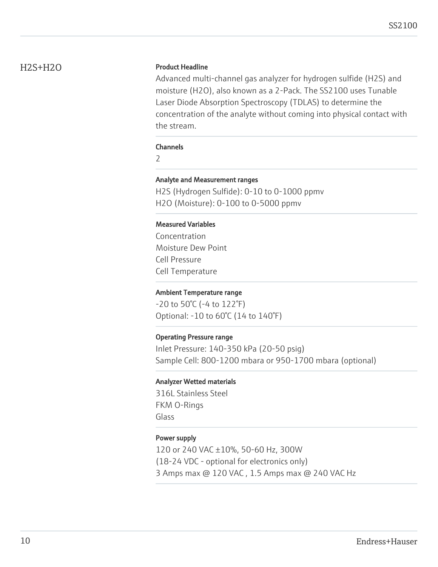### H2S+H2O

### Product Headline

Advanced multi-channel gas analyzer for hydrogen sulfide (H2S) and moisture (H2O), also known as a 2-Pack. The SS2100 uses Tunable Laser Diode Absorption Spectroscopy (TDLAS) to determine the concentration of the analyte without coming into physical contact with the stream.

#### Channels

 $\overline{\phantom{0}}$ 

#### Analyte and Measurement ranges

H2S (Hydrogen Sulfide): 0-10 to 0-1000 ppmv H2O (Moisture): 0-100 to 0-5000 ppmv

#### Measured Variables

Concentration Moisture Dew Point Cell Pressure Cell Temperature

#### Ambient Temperature range

-20 to 50°C (-4 to 122°F) Optional: -10 to 60°C (14 to 140°F)

#### Operating Pressure range

Inlet Pressure: 140-350 kPa (20-50 psig) Sample Cell: 800-1200 mbara or 950-1700 mbara (optional)

#### Analyzer Wetted materials

316L Stainless Steel FKM O-Rings Glass

#### Power supply

120 or 240 VAC ±10%, 50-60 Hz, 300W (18-24 VDC - optional for electronics only) 3 Amps max @ 120 VAC , 1.5 Amps max @ 240 VAC Hz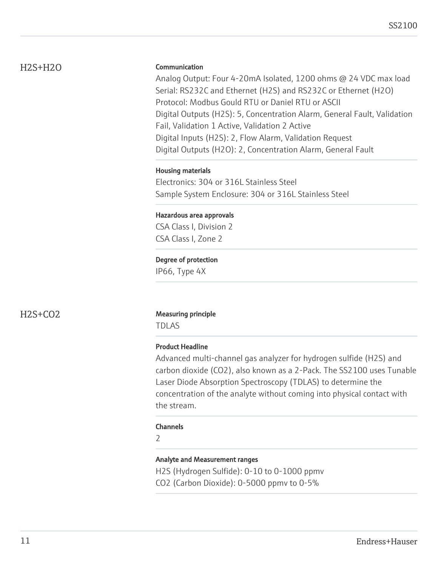### H2S+H2O

### Communication

Analog Output: Four 4-20mA Isolated, 1200 ohms @ 24 VDC max load Serial: RS232C and Ethernet (H2S) and RS232C or Ethernet (H2O) Protocol: Modbus Gould RTU or Daniel RTU or ASCII Digital Outputs (H2S): 5, Concentration Alarm, General Fault, Validation Fail, Validation 1 Active, Validation 2 Active Digital Inputs (H2S): 2, Flow Alarm, Validation Request Digital Outputs (H2O): 2, Concentration Alarm, General Fault

### Housing materials

Electronics: 304 or 316L Stainless Steel Sample System Enclosure: 304 or 316L Stainless Steel

### Hazardous area approvals

CSA Class I, Division 2 CSA Class I, Zone 2

### Degree of protection

IP66, Type 4X

### H2S+CO2 Measuring principle

TDLAS

### Product Headline

Advanced multi-channel gas analyzer for hydrogen sulfide (H2S) and carbon dioxide (CO2), also known as a 2-Pack. The SS2100 uses Tunable Laser Diode Absorption Spectroscopy (TDLAS) to determine the concentration of the analyte without coming into physical contact with the stream.

### Channels

 $\overline{\phantom{0}}$ 

### Analyte and Measurement ranges

H2S (Hydrogen Sulfide): 0-10 to 0-1000 ppmv

CO2 (Carbon Dioxide): 0-5000 ppmv to 0-5%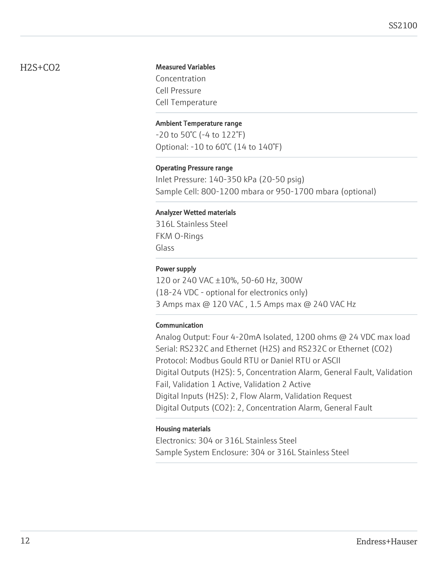### H2S+CO2

### Measured Variables

Concentration Cell Pressure Cell Temperature

### Ambient Temperature range

-20 to 50°C (-4 to 122°F) Optional: -10 to 60°C (14 to 140°F)

### Operating Pressure range

Inlet Pressure: 140-350 kPa (20-50 psig) Sample Cell: 800-1200 mbara or 950-1700 mbara (optional)

### Analyzer Wetted materials

316L Stainless Steel FKM O-Rings Glass

### Power supply

120 or 240 VAC ±10%, 50-60 Hz, 300W (18-24 VDC - optional for electronics only) 3 Amps max @ 120 VAC , 1.5 Amps max @ 240 VAC Hz

### Communication

Analog Output: Four 4-20mA Isolated, 1200 ohms @ 24 VDC max load Serial: RS232C and Ethernet (H2S) and RS232C or Ethernet (CO2) Protocol: Modbus Gould RTU or Daniel RTU or ASCII Digital Outputs (H2S): 5, Concentration Alarm, General Fault, Validation Fail, Validation 1 Active, Validation 2 Active Digital Inputs (H2S): 2, Flow Alarm, Validation Request Digital Outputs (CO2): 2, Concentration Alarm, General Fault

### Housing materials

Electronics: 304 or 316L Stainless Steel Sample System Enclosure: 304 or 316L Stainless Steel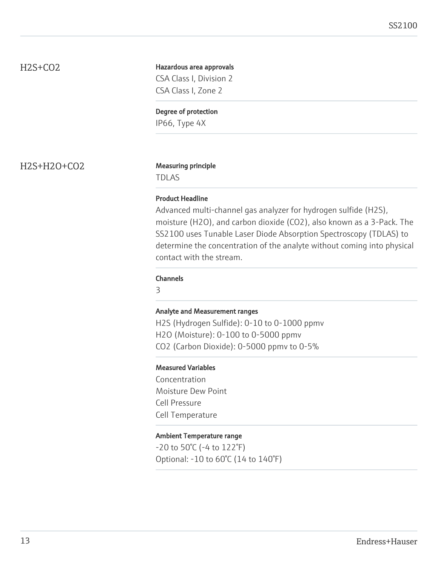### H2S+CO2

### Hazardous area approvals CSA Class I, Division 2 CSA Class I, Zone 2

Degree of protection

IP66, Type 4X

H2S+H2O+CO2 Measuring principle

TDLAS

### Product Headline

Advanced multi-channel gas analyzer for hydrogen sulfide (H2S), moisture (H2O), and carbon dioxide (CO2), also known as a 3-Pack. The SS2100 uses Tunable Laser Diode Absorption Spectroscopy (TDLAS) to determine the concentration of the analyte without coming into physical contact with the stream.

### Channels

3

### Analyte and Measurement ranges

H2S (Hydrogen Sulfide): 0-10 to 0-1000 ppmv H2O (Moisture): 0-100 to 0-5000 ppmv CO2 (Carbon Dioxide): 0-5000 ppmv to 0-5%

### Measured Variables

Concentration Moisture Dew Point Cell Pressure Cell Temperature

### Ambient Temperature range

-20 to 50°C (-4 to 122°F) Optional: -10 to 60°C (14 to 140°F)